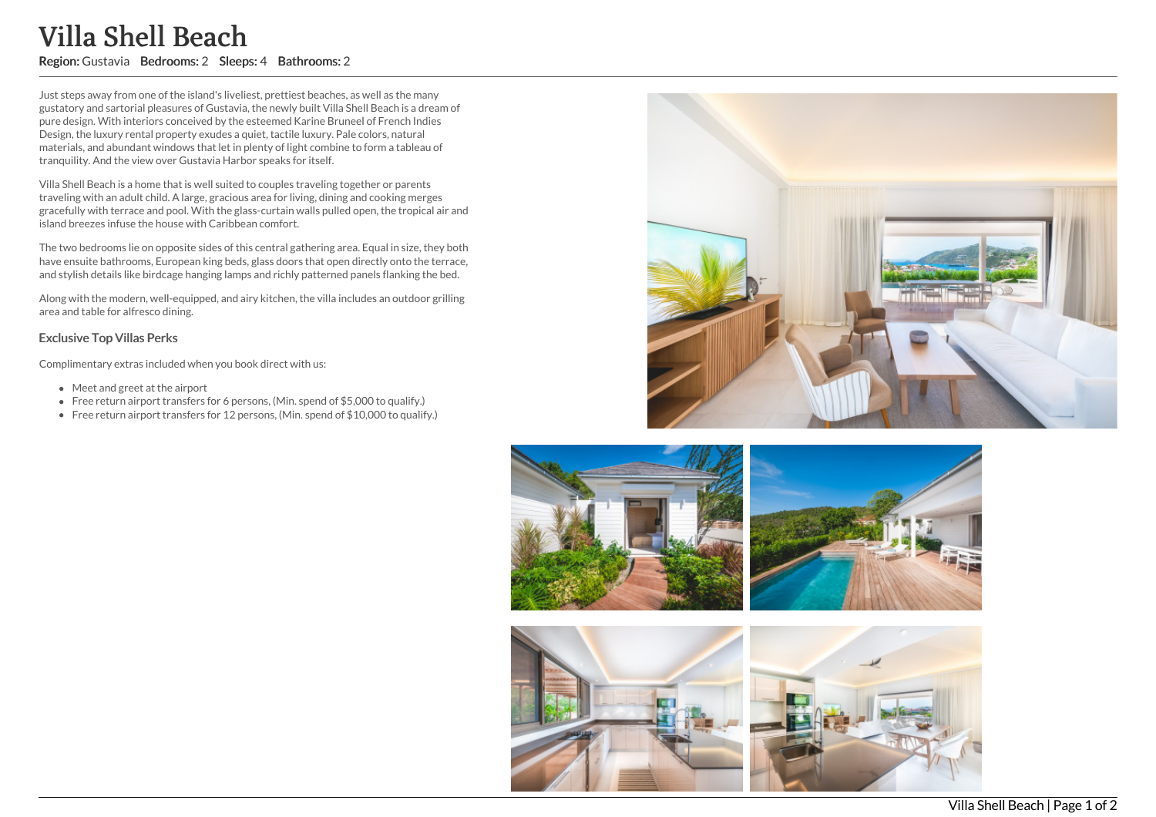## Villa Shell Beach

Region: Gustavia Bedrooms: 2 Sleeps: 4 Bathrooms: 2

Just steps away from one of the island's liveliest, prettiest beaches, as well as the many gustatory and sartorial pleasures of Gustavia, the newly built Villa Shell Beach is a dream of pure design. With interiors conceived by the esteemed Karine Bruneel of French Indies Design, the luxury rental property exudes a quiet, tactile luxury. Pale colors, natural materials, and abundant windows that let in plenty of light combine to form a tableau of tranquility. And the view over Gustavia Harbor speaks for itself.

Villa Shell Beach is a home that is well suited to couples traveling together or parents traveling with an adult child. A large, gracious area for living, dining and cooking merges gracefully with terrace and pool. With the glass-curtain walls pulled open, the tropical air and island breezes infuse the house with Caribbean comfort.

The two bedrooms lie on opposite sides of this central gathering area. Equal in size, they both have ensuite bathrooms, European king beds, glass doors that open directly onto the terrace, and stylish details like birdcage hanging lamps and richly patterned panels flanking the bed.

Along with the modern, well-equipped, and airy kitchen, the villa includes an outdoor grilling area and table for alfresco dining.

## Exclusive Top Villas Perks

Complimentary extras included when you book direct with us:

- Meet and greet at the airport
- Free return airport transfers for 6 persons, (Min. spend of \$5,000 to qualify.)
- Free return airport transfers for 12 persons, (Min. spend of \$10,000 to qualify.)